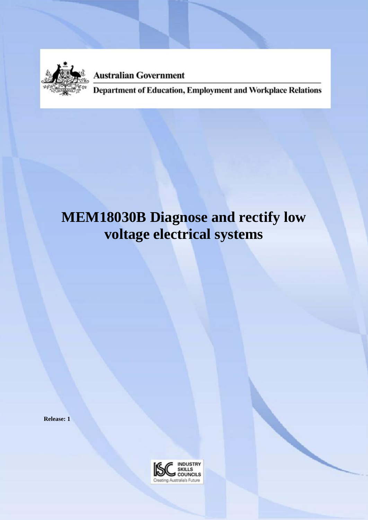

**Australian Government** 

Department of Education, Employment and Workplace Relations

# **MEM18030B Diagnose and rectify low voltage electrical systems**

**Release: 1**

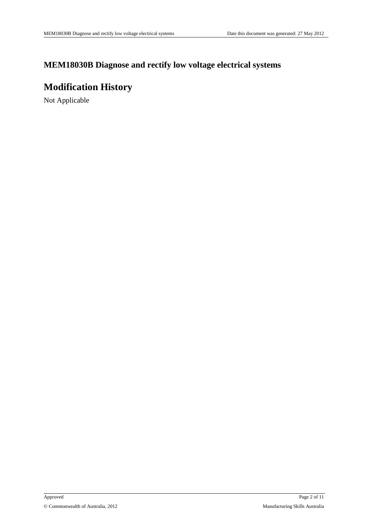### **MEM18030B Diagnose and rectify low voltage electrical systems**

## **Modification History**

Not Applicable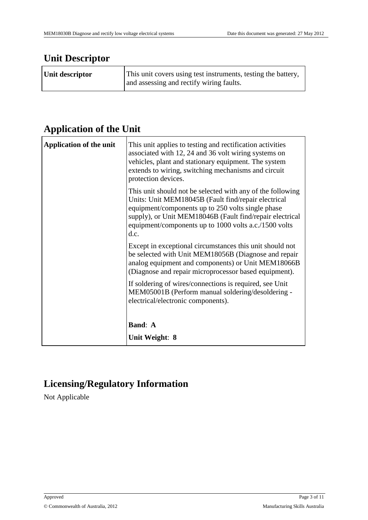## **Unit Descriptor**

| Unit descriptor | This unit covers using test instruments, testing the battery,<br>and assessing and rectify wiring faults. |
|-----------------|-----------------------------------------------------------------------------------------------------------|
|                 |                                                                                                           |

## **Application of the Unit**

| <b>Application of the unit</b> | This unit applies to testing and rectification activities<br>associated with 12, 24 and 36 volt wiring systems on<br>vehicles, plant and stationary equipment. The system<br>extends to wiring, switching mechanisms and circuit<br>protection devices.                                             |
|--------------------------------|-----------------------------------------------------------------------------------------------------------------------------------------------------------------------------------------------------------------------------------------------------------------------------------------------------|
|                                | This unit should not be selected with any of the following<br>Units: Unit MEM18045B (Fault find/repair electrical<br>equipment/components up to 250 volts single phase<br>supply), or Unit MEM18046B (Fault find/repair electrical<br>equipment/components up to 1000 volts a.c./1500 volts<br>d.c. |
|                                | Except in exceptional circumstances this unit should not<br>be selected with Unit MEM18056B (Diagnose and repair<br>analog equipment and components) or Unit MEM18066B<br>(Diagnose and repair microprocessor based equipment).                                                                     |
|                                | If soldering of wires/connections is required, see Unit<br>MEM05001B (Perform manual soldering/desoldering -<br>electrical/electronic components).                                                                                                                                                  |
|                                | <b>Band: A</b>                                                                                                                                                                                                                                                                                      |
|                                | Unit Weight: 8                                                                                                                                                                                                                                                                                      |

# **Licensing/Regulatory Information**

Not Applicable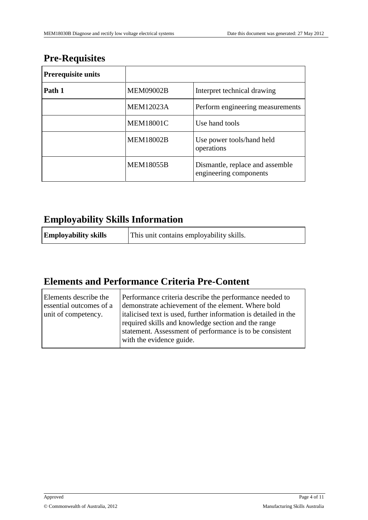## **Pre-Requisites**

| <b>Prerequisite units</b> |                  |                                                           |
|---------------------------|------------------|-----------------------------------------------------------|
| Path 1                    | <b>MEM09002B</b> | Interpret technical drawing                               |
|                           | <b>MEM12023A</b> | Perform engineering measurements                          |
|                           | <b>MEM18001C</b> | Use hand tools                                            |
|                           | <b>MEM18002B</b> | Use power tools/hand held<br>operations                   |
|                           | <b>MEM18055B</b> | Dismantle, replace and assemble<br>engineering components |

## **Employability Skills Information**

| <b>Employability skills</b> | This unit contains employability skills. |
|-----------------------------|------------------------------------------|
|-----------------------------|------------------------------------------|

# **Elements and Performance Criteria Pre-Content**

| Elements describe the<br>essential outcomes of a<br>unit of competency. | Performance criteria describe the performance needed to<br>demonstrate achievement of the element. Where bold<br>italicised text is used, further information is detailed in the<br>required skills and knowledge section and the range<br>statement. Assessment of performance is to be consistent<br>with the evidence guide. |
|-------------------------------------------------------------------------|---------------------------------------------------------------------------------------------------------------------------------------------------------------------------------------------------------------------------------------------------------------------------------------------------------------------------------|
|                                                                         |                                                                                                                                                                                                                                                                                                                                 |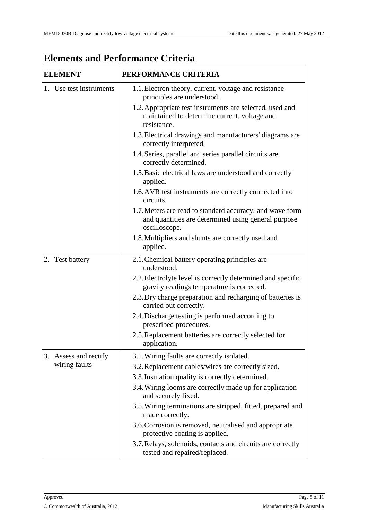| <b>ELEMENT</b>          | PERFORMANCE CRITERIA                                                                                                             |  |
|-------------------------|----------------------------------------------------------------------------------------------------------------------------------|--|
| 1. Use test instruments | 1.1. Electron theory, current, voltage and resistance<br>principles are understood.                                              |  |
|                         | 1.2. Appropriate test instruments are selected, used and<br>maintained to determine current, voltage and<br>resistance.          |  |
|                         | 1.3. Electrical drawings and manufacturers' diagrams are<br>correctly interpreted.                                               |  |
|                         | 1.4. Series, parallel and series parallel circuits are<br>correctly determined.                                                  |  |
|                         | 1.5. Basic electrical laws are understood and correctly<br>applied.                                                              |  |
|                         | 1.6. AVR test instruments are correctly connected into<br>circuits.                                                              |  |
|                         | 1.7. Meters are read to standard accuracy; and wave form<br>and quantities are determined using general purpose<br>oscilloscope. |  |
|                         | 1.8. Multipliers and shunts are correctly used and<br>applied.                                                                   |  |
| 2. Test battery         | 2.1. Chemical battery operating principles are<br>understood.                                                                    |  |
|                         | 2.2. Electrolyte level is correctly determined and specific<br>gravity readings temperature is corrected.                        |  |
|                         | 2.3. Dry charge preparation and recharging of batteries is<br>carried out correctly.                                             |  |
|                         | 2.4. Discharge testing is performed according to<br>prescribed procedures.                                                       |  |
|                         | 2.5. Replacement batteries are correctly selected for<br>application.                                                            |  |
| 3. Assess and rectify   | 3.1. Wiring faults are correctly isolated.                                                                                       |  |
| wiring faults           | 3.2. Replacement cables/wires are correctly sized.                                                                               |  |
|                         | 3.3. Insulation quality is correctly determined.                                                                                 |  |
|                         | 3.4. Wiring looms are correctly made up for application<br>and securely fixed.                                                   |  |
|                         | 3.5. Wiring terminations are stripped, fitted, prepared and<br>made correctly.                                                   |  |
|                         | 3.6. Corrosion is removed, neutralised and appropriate<br>protective coating is applied.                                         |  |
|                         | 3.7. Relays, solenoids, contacts and circuits are correctly<br>tested and repaired/replaced.                                     |  |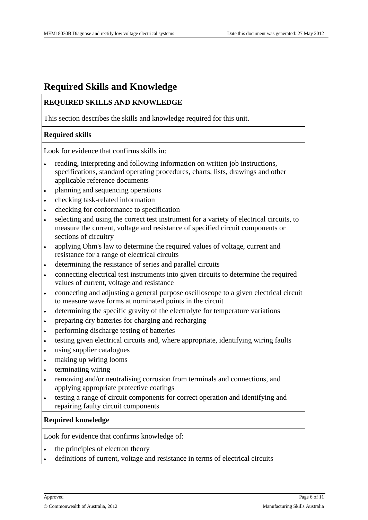### **Required Skills and Knowledge**

#### **REQUIRED SKILLS AND KNOWLEDGE**

This section describes the skills and knowledge required for this unit.

#### **Required skills**

Look for evidence that confirms skills in:

- reading, interpreting and following information on written job instructions, specifications, standard operating procedures, charts, lists, drawings and other applicable reference documents
- planning and sequencing operations
- checking task-related information
- checking for conformance to specification
- selecting and using the correct test instrument for a variety of electrical circuits, to measure the current, voltage and resistance of specified circuit components or sections of circuitry
- applying Ohm's law to determine the required values of voltage, current and resistance for a range of electrical circuits
- determining the resistance of series and parallel circuits
- connecting electrical test instruments into given circuits to determine the required values of current, voltage and resistance
- connecting and adjusting a general purpose oscilloscope to a given electrical circuit to measure wave forms at nominated points in the circuit
- determining the specific gravity of the electrolyte for temperature variations
- preparing dry batteries for charging and recharging
- performing discharge testing of batteries
- testing given electrical circuits and, where appropriate, identifying wiring faults
- using supplier catalogues
- making up wiring looms
- terminating wiring
- removing and/or neutralising corrosion from terminals and connections, and applying appropriate protective coatings
- testing a range of circuit components for correct operation and identifying and repairing faulty circuit components

#### **Required knowledge**

Look for evidence that confirms knowledge of:

- the principles of electron theory
- definitions of current, voltage and resistance in terms of electrical circuits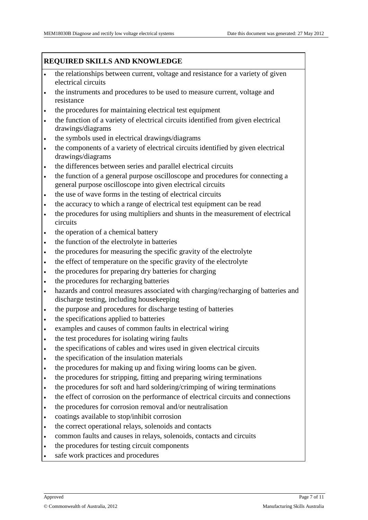#### **REQUIRED SKILLS AND KNOWLEDGE**

- the relationships between current, voltage and resistance for a variety of given electrical circuits
- the instruments and procedures to be used to measure current, voltage and resistance
- the procedures for maintaining electrical test equipment
- the function of a variety of electrical circuits identified from given electrical drawings/diagrams
- the symbols used in electrical drawings/diagrams
- the components of a variety of electrical circuits identified by given electrical drawings/diagrams
- the differences between series and parallel electrical circuits
- the function of a general purpose oscilloscope and procedures for connecting a general purpose oscilloscope into given electrical circuits
- the use of wave forms in the testing of electrical circuits
- the accuracy to which a range of electrical test equipment can be read
- the procedures for using multipliers and shunts in the measurement of electrical circuits
- the operation of a chemical battery
- the function of the electrolyte in batteries
- the procedures for measuring the specific gravity of the electrolyte
- the effect of temperature on the specific gravity of the electrolyte
- the procedures for preparing dry batteries for charging
- the procedures for recharging batteries
- hazards and control measures associated with charging/recharging of batteries and discharge testing, including housekeeping
- the purpose and procedures for discharge testing of batteries
- the specifications applied to batteries
- examples and causes of common faults in electrical wiring
- the test procedures for isolating wiring faults
- the specifications of cables and wires used in given electrical circuits
- the specification of the insulation materials
- the procedures for making up and fixing wiring looms can be given.
- the procedures for stripping, fitting and preparing wiring terminations
- the procedures for soft and hard soldering/crimping of wiring terminations
- the effect of corrosion on the performance of electrical circuits and connections
- the procedures for corrosion removal and/or neutralisation
- coatings available to stop/inhibit corrosion
- the correct operational relays, solenoids and contacts
- common faults and causes in relays, solenoids, contacts and circuits
- the procedures for testing circuit components
- safe work practices and procedures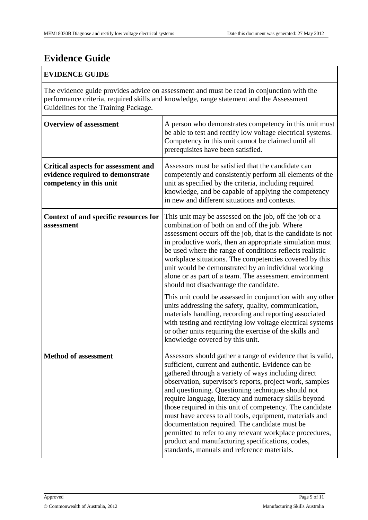# **Evidence Guide**

#### **EVIDENCE GUIDE**

The evidence guide provides advice on assessment and must be read in conjunction with the performance criteria, required skills and knowledge, range statement and the Assessment Guidelines for the Training Package.

| <b>Overview of assessment</b>                                                                             | A person who demonstrates competency in this unit must<br>be able to test and rectify low voltage electrical systems.<br>Competency in this unit cannot be claimed until all<br>prerequisites have been satisfied.                                                                                                                                                                                                                                                                                                                                                                                                                                                                        |
|-----------------------------------------------------------------------------------------------------------|-------------------------------------------------------------------------------------------------------------------------------------------------------------------------------------------------------------------------------------------------------------------------------------------------------------------------------------------------------------------------------------------------------------------------------------------------------------------------------------------------------------------------------------------------------------------------------------------------------------------------------------------------------------------------------------------|
| <b>Critical aspects for assessment and</b><br>evidence required to demonstrate<br>competency in this unit | Assessors must be satisfied that the candidate can<br>competently and consistently perform all elements of the<br>unit as specified by the criteria, including required<br>knowledge, and be capable of applying the competency<br>in new and different situations and contexts.                                                                                                                                                                                                                                                                                                                                                                                                          |
| Context of and specific resources for<br>assessment                                                       | This unit may be assessed on the job, off the job or a<br>combination of both on and off the job. Where<br>assessment occurs off the job, that is the candidate is not<br>in productive work, then an appropriate simulation must<br>be used where the range of conditions reflects realistic<br>workplace situations. The competencies covered by this<br>unit would be demonstrated by an individual working<br>alone or as part of a team. The assessment environment<br>should not disadvantage the candidate.                                                                                                                                                                        |
|                                                                                                           | This unit could be assessed in conjunction with any other<br>units addressing the safety, quality, communication,<br>materials handling, recording and reporting associated<br>with testing and rectifying low voltage electrical systems<br>or other units requiring the exercise of the skills and<br>knowledge covered by this unit.                                                                                                                                                                                                                                                                                                                                                   |
| <b>Method of assessment</b>                                                                               | Assessors should gather a range of evidence that is valid,<br>sufficient, current and authentic. Evidence can be<br>gathered through a variety of ways including direct<br>observation, supervisor's reports, project work, samples<br>and questioning. Questioning techniques should not<br>require language, literacy and numeracy skills beyond<br>those required in this unit of competency. The candidate<br>must have access to all tools, equipment, materials and<br>documentation required. The candidate must be<br>permitted to refer to any relevant workplace procedures,<br>product and manufacturing specifications, codes,<br>standards, manuals and reference materials. |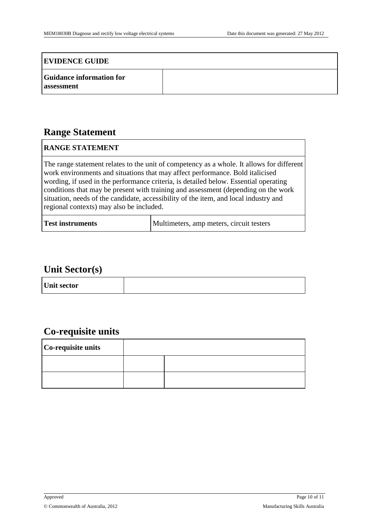#### **EVIDENCE GUIDE**

| <b>Guidance information for</b> |  |
|---------------------------------|--|
| assessment                      |  |

### **Range Statement**

#### **RANGE STATEMENT**

The range statement relates to the unit of competency as a whole. It allows for different work environments and situations that may affect performance. Bold italicised wording, if used in the performance criteria, is detailed below. Essential operating conditions that may be present with training and assessment (depending on the work situation, needs of the candidate, accessibility of the item, and local industry and regional contexts) may also be included.

| Multimeters, amp meters, circuit testers<br><b>Test instruments</b> |  |  |
|---------------------------------------------------------------------|--|--|
|---------------------------------------------------------------------|--|--|

### **Unit Sector(s)**

|--|

### **Co-requisite units**

| Co-requisite units |  |
|--------------------|--|
|                    |  |
|                    |  |